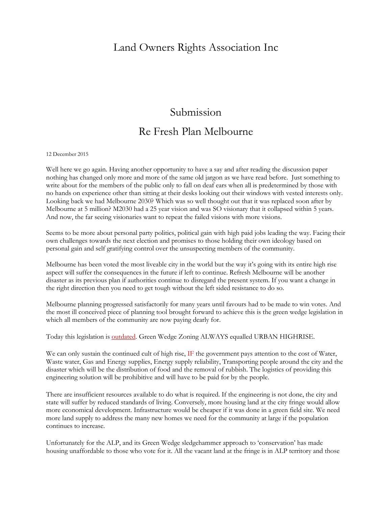## Land Owners Rights Association Inc

## Submission Re Fresh Plan Melbourne

## 12 December 2015

Well here we go again. Having another opportunity to have a say and after reading the discussion paper nothing has changed only more and more of the same old jargon as we have read before. Just something to write about for the members of the public only to fall on deaf ears when all is predetermined by those with no hands on experience other than sitting at their desks looking out their windows with vested interests only. Looking back we had Melbourne 2030? Which was so well thought out that it was replaced soon after by Melbourne at 5 million? M2030 had a 25 year vision and was SO visionary that it collapsed within 5 years. And now, the far seeing visionaries want to repeat the failed visions with more visions.

Seems to be more about personal party politics, political gain with high paid jobs leading the way. Facing their own challenges towards the next election and promises to those holding their own ideology based on personal gain and self gratifying control over the unsuspecting members of the community.

Melbourne has been voted the most liveable city in the world but the way it's going with its entire high rise aspect will suffer the consequences in the future if left to continue. Refresh Melbourne will be another disaster as its previous plan if authorities continue to disregard the present system. If you want a change in the right direction then you need to get tough without the left sided resistance to do so.

Melbourne planning progressed satisfactorily for many years until favours had to be made to win votes. And the most ill conceived piece of planning tool brought forward to achieve this is the green wedge legislation in which all members of the community are now paying dearly for.

Today this legislation is **outdated**. Green Wedge Zoning ALWAYS equalled URBAN HIGHRISE.

We can only sustain the continued cult of high rise, IF the government pays attention to the cost of Water, Waste water, Gas and Energy supplies, Energy supply reliability, Transporting people around the city and the disaster which will be the distribution of food and the removal of rubbish. The logistics of providing this engineering solution will be prohibitive and will have to be paid for by the people.

There are insufficient resources available to do what is required. If the engineering is not done, the city and state will suffer by reduced standards of living. Conversely, more housing land at the city fringe would allow more economical development. Infrastructure would be cheaper if it was done in a green field site. We need more land supply to address the many new homes we need for the community at large if the population continues to increase.

Unfortunately for the ALP, and its Green Wedge sledgehammer approach to 'conservation' has made housing unaffordable to those who vote for it. All the vacant land at the fringe is in ALP territory and those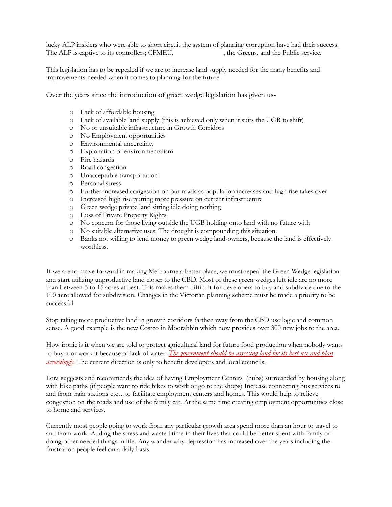lucky ALP insiders who were able to short circuit the system of planning corruption have had their success. The ALP is captive to its controllers; CFMEU. , the Greens, and the Public service.

This legislation has to be repealed if we are to increase land supply needed for the many benefits and improvements needed when it comes to planning for the future.

Over the years since the introduction of green wedge legislation has given us-

- o Lack of affordable housing
- o Lack of available land supply (this is achieved only when it suits the UGB to shift)
- o No or unsuitable infrastructure in Growth Corridors
- o No Employment opportunities
- o Environmental uncertainty
- o Exploitation of environmentalism
- o Fire hazards
- o Road congestion
- o Unacceptable transportation
- o Personal stress
- o Further increased congestion on our roads as population increases and high rise takes over
- o Increased high rise putting more pressure on current infrastructure
- o Green wedge private land sitting idle doing nothing
- o Loss of Private Property Rights
- o No concern for those living outside the UGB holding onto land with no future with
- o No suitable alternative uses. The drought is compounding this situation.
- o Banks not willing to lend money to green wedge land-owners, because the land is effectively worthless.

If we are to move forward in making Melbourne a better place, we must repeal the Green Wedge legislation and start utilizing unproductive land closer to the CBD. Most of these green wedges left idle are no more than between 5 to 15 acres at best. This makes them difficult for developers to buy and subdivide due to the 100 acre allowed for subdivision. Changes in the Victorian planning scheme must be made a priority to be successful.

Stop taking more productive land in growth corridors farther away from the CBD use logic and common sense. A good example is the new Costco in Moorabbin which now provides over 300 new jobs to the area.

How ironic is it when we are told to protect agricultural land for future food production when nobody wants to buy it or work it because of lack of water. *The government should be assessing land for its best use and plan accordingly*. The current direction is only to benefit developers and local councils.

Lora suggests and recommends the idea of having Employment Centers (hubs) surrounded by housing along with bike paths (if people want to ride bikes to work or go to the shops) Increase connecting bus services to and from train stations etc…to facilitate employment centers and homes. This would help to relieve congestion on the roads and use of the family car. At the same time creating employment opportunities close to home and services.

Currently most people going to work from any particular growth area spend more than an hour to travel to and from work. Adding the stress and wasted time in their lives that could be better spent with family or doing other needed things in life. Any wonder why depression has increased over the years including the frustration people feel on a daily basis.